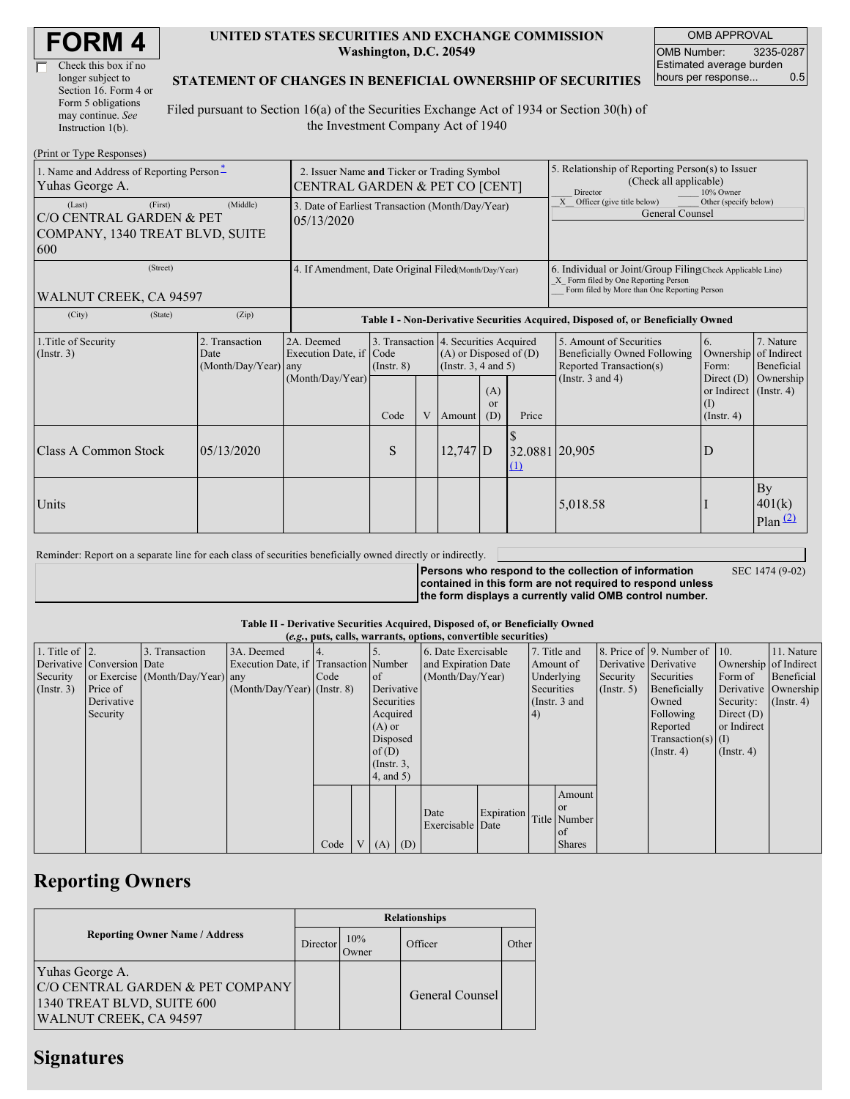| <b>FORM4</b> |
|--------------|
|--------------|

| Check this box if no  |
|-----------------------|
| longer subject to     |
| Section 16. Form 4 or |
| Form 5 obligations    |
| may continue. See     |
| Instruction $1(b)$ .  |

#### **UNITED STATES SECURITIES AND EXCHANGE COMMISSION Washington, D.C. 20549**

OMB APPROVAL OMB Number: 3235-0287 Estimated average burden<br>hours per response... 0.5 hours per response...

#### **STATEMENT OF CHANGES IN BENEFICIAL OWNERSHIP OF SECURITIES**

Filed pursuant to Section 16(a) of the Securities Exchange Act of 1934 or Section 30(h) of the Investment Company Act of 1940

| (Print or Type Responses)                                                               |                                                                               |                                                                                  |                         |  |                                                                                                                                                 |  |                                                                                                                                                    |                                                                                                             |                                                                                                |                                                     |  |  |
|-----------------------------------------------------------------------------------------|-------------------------------------------------------------------------------|----------------------------------------------------------------------------------|-------------------------|--|-------------------------------------------------------------------------------------------------------------------------------------------------|--|----------------------------------------------------------------------------------------------------------------------------------------------------|-------------------------------------------------------------------------------------------------------------|------------------------------------------------------------------------------------------------|-----------------------------------------------------|--|--|
| 1. Name and Address of Reporting Person-<br>Yuhas George A.                             | 2. Issuer Name and Ticker or Trading Symbol<br>CENTRAL GARDEN & PET CO [CENT] |                                                                                  |                         |  |                                                                                                                                                 |  | 5. Relationship of Reporting Person(s) to Issuer<br>(Check all applicable)<br>Director<br>10% Owner                                                |                                                                                                             |                                                                                                |                                                     |  |  |
| (First)<br>(Last)<br>C/O CENTRAL GARDEN & PET<br>COMPANY, 1340 TREAT BLVD, SUITE<br>600 | 3. Date of Earliest Transaction (Month/Day/Year)<br>05/13/2020                |                                                                                  |                         |  |                                                                                                                                                 |  | Officer (give title below)<br>Other (specify below)<br>X<br>General Counsel                                                                        |                                                                                                             |                                                                                                |                                                     |  |  |
| (Street)<br>WALNUT CREEK, CA 94597                                                      | 4. If Amendment, Date Original Filed(Month/Day/Year)                          |                                                                                  |                         |  |                                                                                                                                                 |  | 6. Individual or Joint/Group Filing Check Applicable Line)<br>X Form filed by One Reporting Person<br>Form filed by More than One Reporting Person |                                                                                                             |                                                                                                |                                                     |  |  |
| (State)<br>(City)                                                                       | (Zip)                                                                         | Table I - Non-Derivative Securities Acquired, Disposed of, or Beneficially Owned |                         |  |                                                                                                                                                 |  |                                                                                                                                                    |                                                                                                             |                                                                                                |                                                     |  |  |
| 1. Title of Security<br>$($ Instr. 3 $)$                                                | 2. Transaction<br>Date<br>(Month/Day/Year) any                                | 2A. Deemed<br>Execution Date, if Code<br>(Month/Day/Year)                        | $($ Instr. $8)$<br>Code |  | 3. Transaction 4. Securities Acquired<br>$(A)$ or Disposed of $(D)$<br>(Instr. $3, 4$ and $5$ )<br>(A)<br><b>or</b><br>(D)<br>V Amount<br>Price |  |                                                                                                                                                    | 5. Amount of Securities<br>Beneficially Owned Following<br>Reported Transaction(s)<br>(Instr. $3$ and $4$ ) | 6.<br>Ownership<br>Form:<br>Direct $(D)$<br>or Indirect $($ Instr. 4 $)$<br>(1)<br>(Insert, 4) | 7. Nature<br>of Indirect<br>Beneficial<br>Ownership |  |  |
| Class A Common Stock                                                                    | 05/13/2020                                                                    |                                                                                  | S                       |  | $12,747$ D                                                                                                                                      |  | 32.0881 20,905<br>(1)                                                                                                                              |                                                                                                             | D                                                                                              |                                                     |  |  |
| Units                                                                                   |                                                                               |                                                                                  |                         |  |                                                                                                                                                 |  |                                                                                                                                                    | 5,018.58                                                                                                    |                                                                                                | <b>By</b><br>401(k)<br>$Plan$ <sup>(2)</sup>        |  |  |

| Reminder: Report on a separate line for each class of securities beneficially owned directly or indirectly. |                                                           |                 |
|-------------------------------------------------------------------------------------------------------------|-----------------------------------------------------------|-----------------|
|                                                                                                             | Persons who respond to the collection of information      | SEC 1474 (9-02) |
|                                                                                                             | contained in this form are not required to respond unless |                 |

**the form displays a currently valid OMB control number.**

#### **Table II - Derivative Securities Acquired, Disposed of, or Beneficially Owned**

| (e.g., puts, calls, warrants, options, convertible securities) |                            |                                  |                                       |      |  |               |            |                     |            |               |                |                  |                          |                       |                      |
|----------------------------------------------------------------|----------------------------|----------------------------------|---------------------------------------|------|--|---------------|------------|---------------------|------------|---------------|----------------|------------------|--------------------------|-----------------------|----------------------|
| 1. Title of $\vert$ 2.                                         |                            | 3. Transaction                   | 3A. Deemed                            |      |  |               |            | 6. Date Exercisable |            | 7. Title and  |                |                  | 8. Price of 9. Number of | $\vert$ 10.           | 11. Nature           |
|                                                                | Derivative Conversion Date |                                  | Execution Date, if Transaction Number |      |  |               |            | and Expiration Date |            | Amount of     |                |                  | Derivative Derivative    | Ownership of Indirect |                      |
| Security                                                       |                            | or Exercise (Month/Day/Year) any |                                       | Code |  | of lot        |            | (Month/Day/Year)    |            | Underlying    |                | Security         | Securities               | Form of               | Beneficial           |
| (Insert. 3)                                                    | Price of                   |                                  | $(Month/Day/Year)$ (Instr. 8)         |      |  |               | Derivative |                     |            | Securities    |                | $($ Instr. 5 $)$ | Beneficially             |                       | Derivative Ownership |
|                                                                | Derivative                 |                                  |                                       |      |  |               | Securities |                     |            | (Instr. 3 and |                |                  | Owned                    | Security:             | $($ Instr. 4)        |
|                                                                | Security                   |                                  |                                       |      |  | Acquired      |            | 4)                  |            |               |                |                  | Following                | Direct $(D)$          |                      |
|                                                                |                            |                                  |                                       |      |  | $(A)$ or      |            |                     |            |               |                |                  | Reported                 | or Indirect           |                      |
|                                                                |                            |                                  |                                       |      |  | Disposed      |            |                     |            |               |                |                  | Transaction(s) $(I)$     |                       |                      |
|                                                                |                            |                                  |                                       |      |  | of $(D)$      |            |                     |            |               |                |                  | $($ Instr. 4 $)$         | $($ Instr. 4 $)$      |                      |
|                                                                |                            |                                  |                                       |      |  | $($ Instr. 3, |            |                     |            |               |                |                  |                          |                       |                      |
|                                                                |                            |                                  |                                       |      |  | (4, and 5)    |            |                     |            |               |                |                  |                          |                       |                      |
|                                                                |                            |                                  |                                       |      |  |               |            |                     |            |               | Amount         |                  |                          |                       |                      |
|                                                                |                            |                                  |                                       |      |  |               |            |                     |            |               | l or           |                  |                          |                       |                      |
|                                                                |                            |                                  |                                       |      |  |               |            | Date                | Expiration |               | Title Number   |                  |                          |                       |                      |
|                                                                |                            |                                  |                                       |      |  |               |            | Exercisable Date    |            |               | 0 <sup>t</sup> |                  |                          |                       |                      |
|                                                                |                            |                                  |                                       | Code |  | V(A)          | (D)        |                     |            |               | <b>Shares</b>  |                  |                          |                       |                      |

## **Reporting Owners**

|                                                                                                             | <b>Relationships</b> |              |                 |       |  |  |  |  |  |
|-------------------------------------------------------------------------------------------------------------|----------------------|--------------|-----------------|-------|--|--|--|--|--|
| <b>Reporting Owner Name / Address</b>                                                                       | Director             | 10%<br>Owner | Officer         | Other |  |  |  |  |  |
| Yuhas George A.<br>C/O CENTRAL GARDEN & PET COMPANY<br>1340 TREAT BLVD, SUITE 600<br>WALNUT CREEK, CA 94597 |                      |              | General Counsel |       |  |  |  |  |  |

## **Signatures**